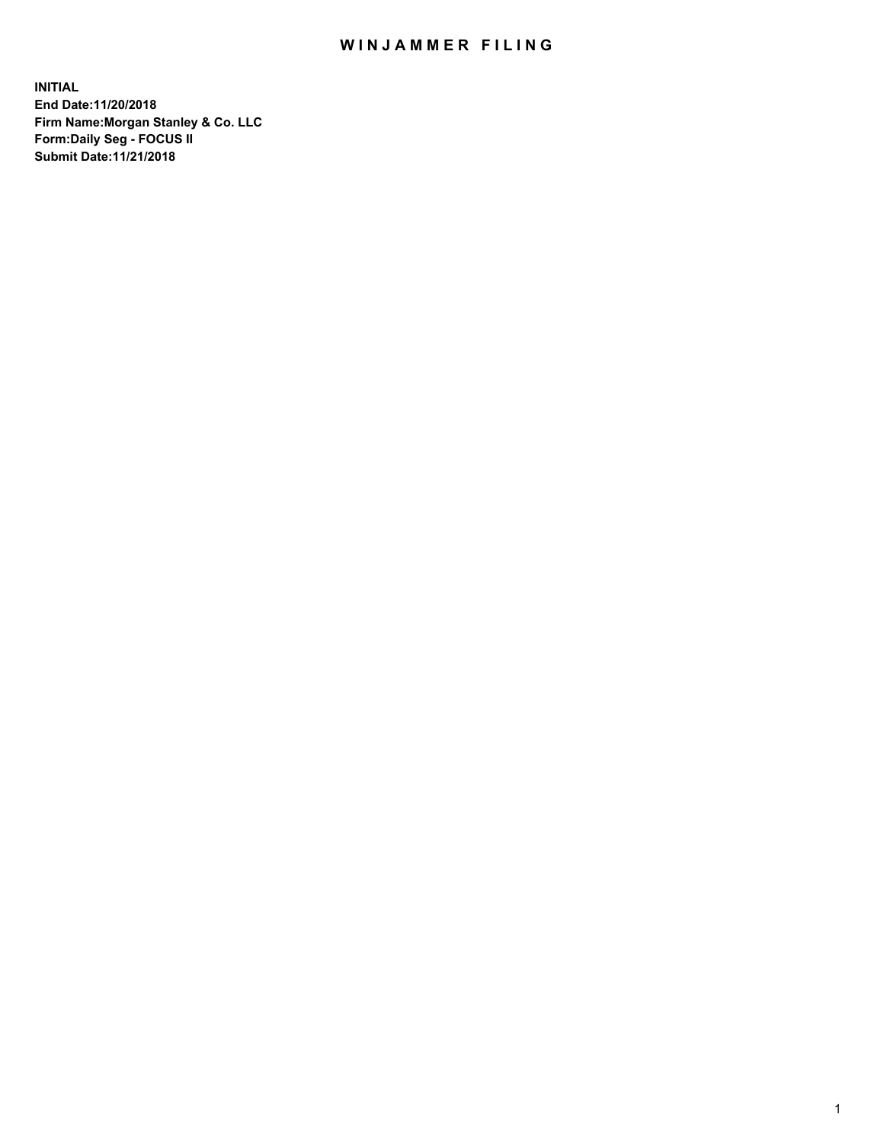## WIN JAMMER FILING

**INITIAL End Date:11/20/2018 Firm Name:Morgan Stanley & Co. LLC Form:Daily Seg - FOCUS II Submit Date:11/21/2018**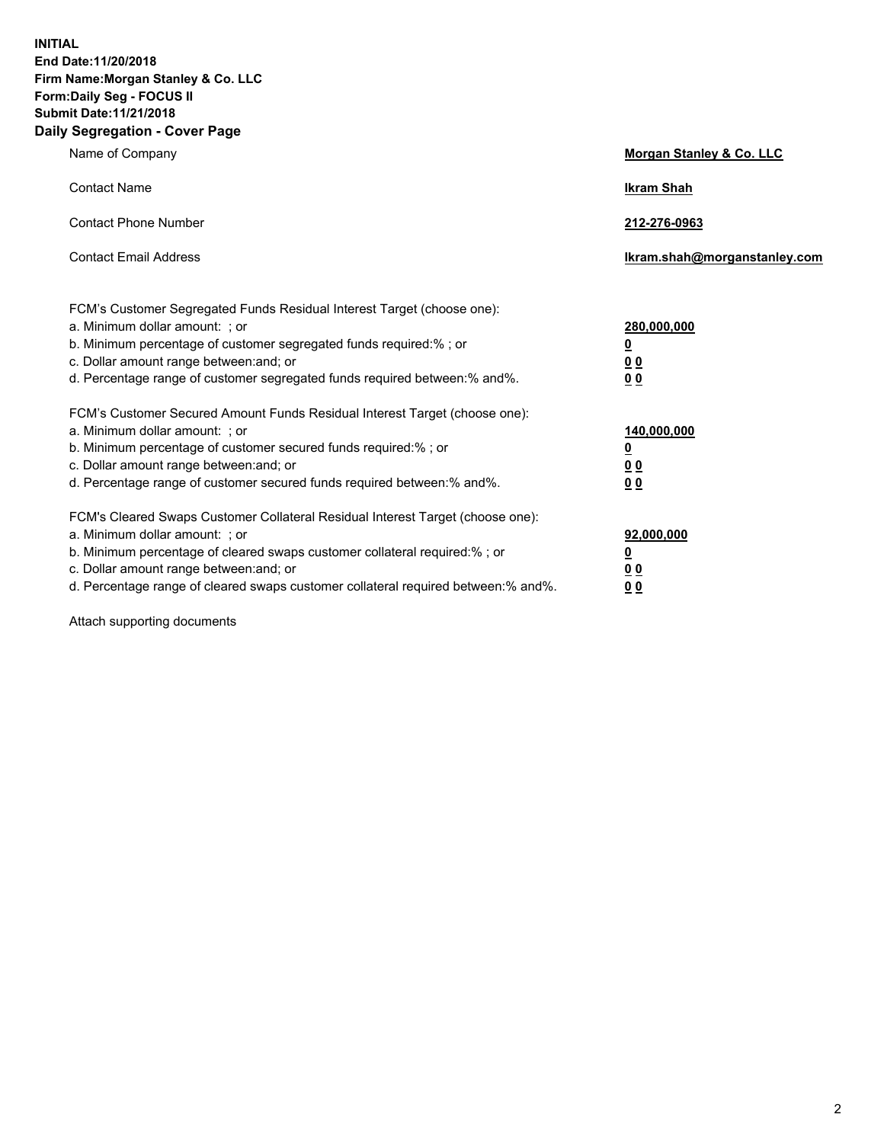**INITIAL End Date:11/20/2018 Firm Name:Morgan Stanley & Co. LLC Form:Daily Seg - FOCUS II Submit Date:11/21/2018 Daily Segregation - Cover Page**

| Name of Company                                                                                                                                                                                                                                                                                                                | Morgan Stanley & Co. LLC                               |
|--------------------------------------------------------------------------------------------------------------------------------------------------------------------------------------------------------------------------------------------------------------------------------------------------------------------------------|--------------------------------------------------------|
| <b>Contact Name</b>                                                                                                                                                                                                                                                                                                            | <b>Ikram Shah</b>                                      |
| <b>Contact Phone Number</b>                                                                                                                                                                                                                                                                                                    | 212-276-0963                                           |
| <b>Contact Email Address</b>                                                                                                                                                                                                                                                                                                   | Ikram.shah@morganstanley.com                           |
| FCM's Customer Segregated Funds Residual Interest Target (choose one):<br>a. Minimum dollar amount: : or<br>b. Minimum percentage of customer segregated funds required:% ; or<br>c. Dollar amount range between: and; or<br>d. Percentage range of customer segregated funds required between:% and%.                         | 280,000,000<br><u>0</u><br><u>00</u><br>0 <sub>0</sub> |
| FCM's Customer Secured Amount Funds Residual Interest Target (choose one):<br>a. Minimum dollar amount: ; or<br>b. Minimum percentage of customer secured funds required:%; or<br>c. Dollar amount range between: and; or<br>d. Percentage range of customer secured funds required between:% and%.                            | 140,000,000<br><u>0</u><br><u>00</u><br>00             |
| FCM's Cleared Swaps Customer Collateral Residual Interest Target (choose one):<br>a. Minimum dollar amount: ; or<br>b. Minimum percentage of cleared swaps customer collateral required:% ; or<br>c. Dollar amount range between: and; or<br>d. Percentage range of cleared swaps customer collateral required between:% and%. | 92,000,000<br><u>0</u><br>00<br>0 <sub>0</sub>         |

Attach supporting documents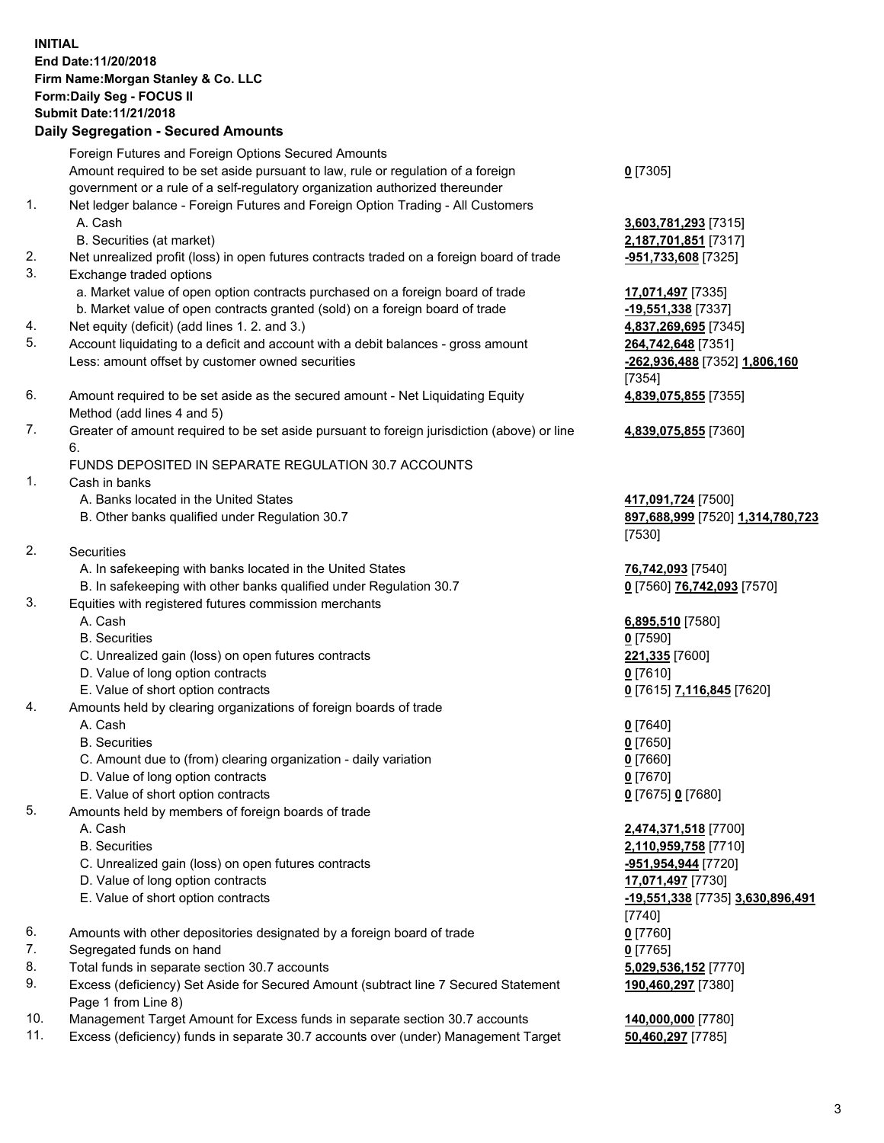## **INITIAL End Date:11/20/2018 Firm Name:Morgan Stanley & Co. LLC Form:Daily Seg - FOCUS II Submit Date:11/21/2018**

**Daily Segregation - Secured Amounts** Foreign Futures and Foreign Options Secured Amounts Amount required to be set aside pursuant to law, rule or regulation of a foreign government or a rule of a self-regulatory organization authorized thereunder 1. Net ledger balance - Foreign Futures and Foreign Option Trading - All Customers A. Cash **3,603,781,293** [7315] B. Securities (at market) **2,187,701,851** [7317] 2. Net unrealized profit (loss) in open futures contracts traded on a foreign board of trade **-951,733,608** [7325] 3. Exchange traded options a. Market value of open option contracts purchased on a foreign board of trade **17,071,497** [7335] b. Market value of open contracts granted (sold) on a foreign board of trade **-19,551,338** [7337] 4. Net equity (deficit) (add lines 1. 2. and 3.) **4,837,269,695** [7345] 5. Account liquidating to a deficit and account with a debit balances - gross amount **264,742,648** [7351] Less: amount offset by customer owned securities **-262,936,488** [7352] **1,806,160** 6. Amount required to be set aside as the secured amount - Net Liquidating Equity Method (add lines 4 and 5) 7. Greater of amount required to be set aside pursuant to foreign jurisdiction (above) or line 6. FUNDS DEPOSITED IN SEPARATE REGULATION 30.7 ACCOUNTS 1. Cash in banks A. Banks located in the United States **417,091,724** [7500] B. Other banks qualified under Regulation 30.7 **897,688,999** [7520] **1,314,780,723** 2. Securities A. In safekeeping with banks located in the United States **76,742,093** [7540] B. In safekeeping with other banks qualified under Regulation 30.7 **0** [7560] **76,742,093** [7570] 3. Equities with registered futures commission merchants A. Cash **6,895,510** [7580] B. Securities **0** [7590] C. Unrealized gain (loss) on open futures contracts **221,335** [7600] D. Value of long option contracts **0** [7610] E. Value of short option contracts **0** [7615] **7,116,845** [7620] 4. Amounts held by clearing organizations of foreign boards of trade A. Cash **0** [7640] B. Securities **0** [7650] C. Amount due to (from) clearing organization - daily variation **0** [7660] D. Value of long option contracts **0** [7670] E. Value of short option contracts **0** [7675] **0** [7680] 5. Amounts held by members of foreign boards of trade A. Cash **2,474,371,518** [7700] B. Securities **2,110,959,758** [7710] C. Unrealized gain (loss) on open futures contracts **-951,954,944** [7720] D. Value of long option contracts **17,071,497** [7730] E. Value of short option contracts **-19,551,338** [7735] **3,630,896,491**

- 6. Amounts with other depositories designated by a foreign board of trade **0** [7760]
- 7. Segregated funds on hand **0** [7765]
- 8. Total funds in separate section 30.7 accounts **5,029,536,152** [7770]
- 9. Excess (deficiency) Set Aside for Secured Amount (subtract line 7 Secured Statement Page 1 from Line 8)
- 10. Management Target Amount for Excess funds in separate section 30.7 accounts **140,000,000** [7780]
- 11. Excess (deficiency) funds in separate 30.7 accounts over (under) Management Target **50,460,297** [7785]

| D | 151<br>3ľ |
|---|-----------|
|   |           |

[7354] **4,839,075,855** [7355]

**4,839,075,855** [7360]

[7530]

[7740] **190,460,297** [7380]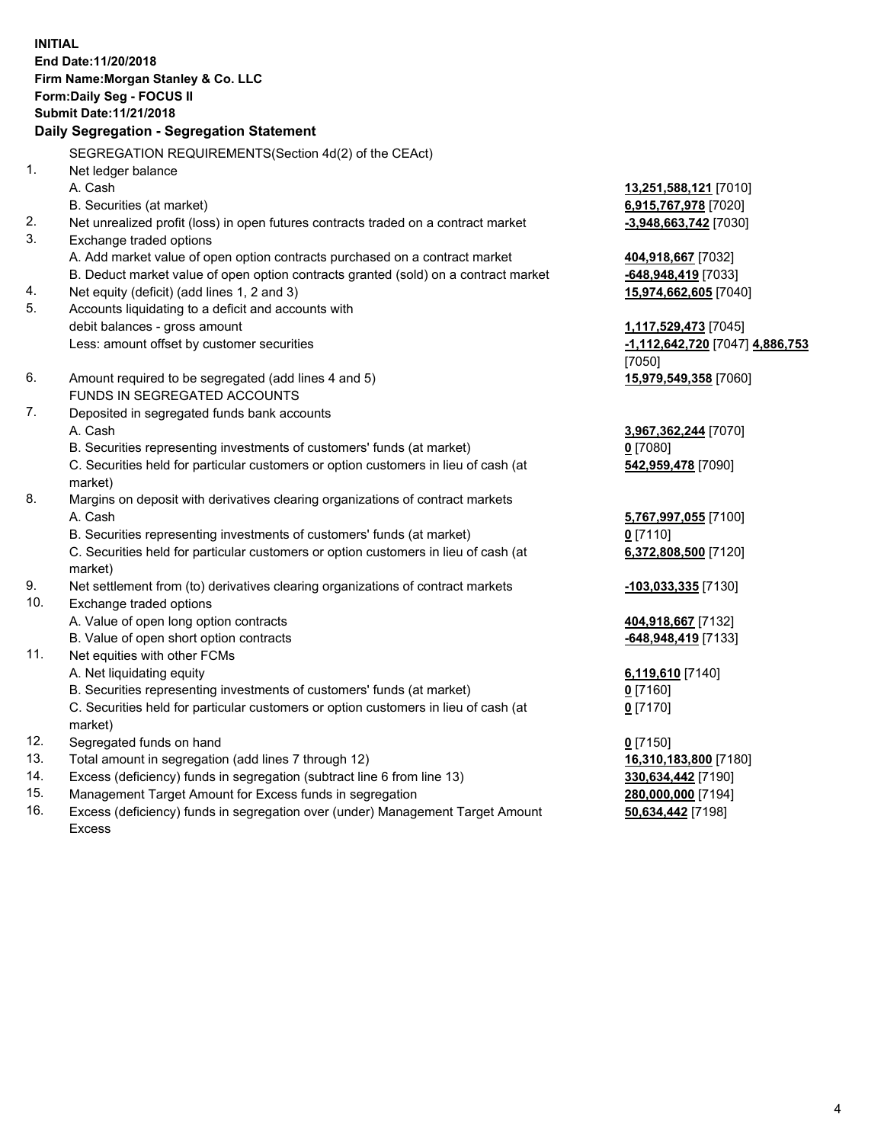**INITIAL End Date:11/20/2018 Firm Name:Morgan Stanley & Co. LLC Form:Daily Seg - FOCUS II Submit Date:11/21/2018 Daily Segregation - Segregation Statement** SEGREGATION REQUIREMENTS(Section 4d(2) of the CEAct) 1. Net ledger balance A. Cash **13,251,588,121** [7010] B. Securities (at market) **6,915,767,978** [7020] 2. Net unrealized profit (loss) in open futures contracts traded on a contract market **-3,948,663,742** [7030] 3. Exchange traded options A. Add market value of open option contracts purchased on a contract market **404,918,667** [7032] B. Deduct market value of open option contracts granted (sold) on a contract market **-648,948,419** [7033] 4. Net equity (deficit) (add lines 1, 2 and 3) **15,974,662,605** [7040] 5. Accounts liquidating to a deficit and accounts with debit balances - gross amount **1,117,529,473** [7045] Less: amount offset by customer securities **-1,112,642,720** [7047] **4,886,753** [7050] 6. Amount required to be segregated (add lines 4 and 5) **15,979,549,358** [7060] FUNDS IN SEGREGATED ACCOUNTS 7. Deposited in segregated funds bank accounts A. Cash **3,967,362,244** [7070] B. Securities representing investments of customers' funds (at market) **0** [7080] C. Securities held for particular customers or option customers in lieu of cash (at market) **542,959,478** [7090] 8. Margins on deposit with derivatives clearing organizations of contract markets A. Cash **5,767,997,055** [7100] B. Securities representing investments of customers' funds (at market) **0** [7110] C. Securities held for particular customers or option customers in lieu of cash (at market) **6,372,808,500** [7120] 9. Net settlement from (to) derivatives clearing organizations of contract markets **-103,033,335** [7130] 10. Exchange traded options A. Value of open long option contracts **404,918,667** [7132] B. Value of open short option contracts **and the set of our of the set of our of the set of our of the set of the set of the set of the set of the set of the set of the set of the set of the set of the set of the set of th** 11. Net equities with other FCMs A. Net liquidating equity **6,119,610** [7140] B. Securities representing investments of customers' funds (at market) **0** [7160] C. Securities held for particular customers or option customers in lieu of cash (at market) **0** [7170] 12. Segregated funds on hand **0** [7150] 13. Total amount in segregation (add lines 7 through 12) **16,310,183,800** [7180] 14. Excess (deficiency) funds in segregation (subtract line 6 from line 13) **330,634,442** [7190]

- 15. Management Target Amount for Excess funds in segregation **280,000,000** [7194]
- 16. Excess (deficiency) funds in segregation over (under) Management Target Amount Excess

**50,634,442** [7198]